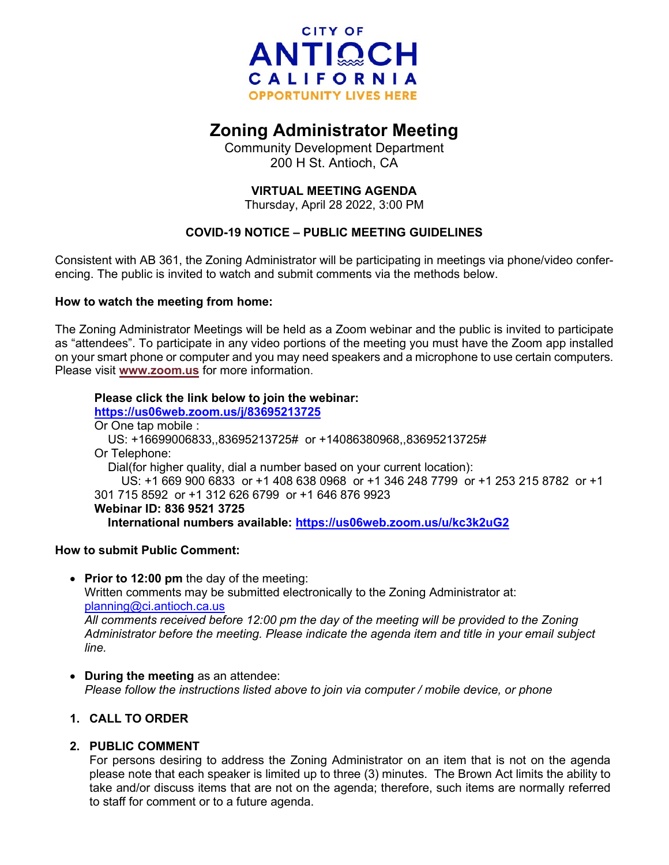

# **Zoning Administrator Meeting**

Community Development Department 200 H St. Antioch, CA

# **VIRTUAL MEETING AGENDA**

Thursday, April 28 2022, 3:00 PM

# **COVID-19 NOTICE – PUBLIC MEETING GUIDELINES**

Consistent with AB 361, the Zoning Administrator will be participating in meetings via phone/video conferencing. The public is invited to watch and submit comments via the methods below.

## **How to watch the meeting from home:**

The Zoning Administrator Meetings will be held as a Zoom webinar and the public is invited to participate as "attendees". To participate in any video portions of the meeting you must have the Zoom app installed on your smart phone or computer and you may need speakers and a microphone to use certain computers. Please visit **[www.zoom.us](http://www.zoom.us/)** for more information.

## **Please click the link below to join the webinar:**

**<https://us06web.zoom.us/j/83695213725>** Or One tap mobile : US: +16699006833,,83695213725# or +14086380968,,83695213725# Or Telephone: Dial(for higher quality, dial a number based on your current location): US: +1 669 900 6833 or +1 408 638 0968 or +1 346 248 7799 or +1 253 215 8782 or +1 301 715 8592 or +1 312 626 6799 or +1 646 876 9923 **Webinar ID: 836 9521 3725 International numbers available:<https://us06web.zoom.us/u/kc3k2uG2>**

## **How to submit Public Comment:**

- **Prior to 12:00 pm** the day of the meeting: Written comments may be submitted electronically to the Zoning Administrator at: [planning@ci.antioch.ca.us](mailto:planning@ci.antioch.ca.us) *All comments received before 12:00 pm the day of the meeting will be provided to the Zoning Administrator before the meeting. Please indicate the agenda item and title in your email subject line.*
- **During the meeting** as an attendee: *Please follow the instructions listed above to join via computer / mobile device, or phone*

## **1. CALL TO ORDER**

## **2. PUBLIC COMMENT**

For persons desiring to address the Zoning Administrator on an item that is not on the agenda please note that each speaker is limited up to three (3) minutes. The Brown Act limits the ability to take and/or discuss items that are not on the agenda; therefore, such items are normally referred to staff for comment or to a future agenda.